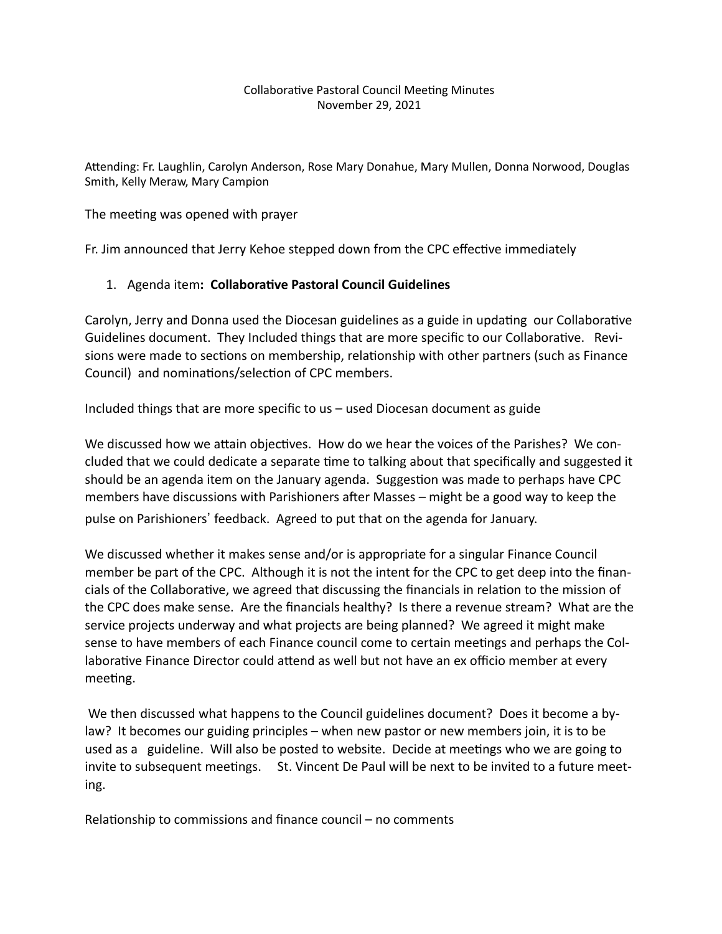#### Collaborative Pastoral Council Meeting Minutes November 29, 2021

Attending: Fr. Laughlin, Carolyn Anderson, Rose Mary Donahue, Mary Mullen, Donna Norwood, Douglas Smith, Kelly Meraw, Mary Campion

The meeting was opened with prayer

Fr. Jim announced that Jerry Kehoe stepped down from the CPC effective immediately

# 1. Agenda item: Collaborative Pastoral Council Guidelines

Carolyn, Jerry and Donna used the Diocesan guidelines as a guide in updating our Collaborative Guidelines document. They Included things that are more specific to our Collaborative. Revisions were made to sections on membership, relationship with other partners (such as Finance Council) and nominations/selection of CPC members.

Included things that are more specific to us – used Diocesan document as guide

We discussed how we attain objectives. How do we hear the voices of the Parishes? We concluded that we could dedicate a separate time to talking about that specifically and suggested it should be an agenda item on the January agenda. Suggestion was made to perhaps have CPC members have discussions with Parishioners after Masses – might be a good way to keep the pulse on Parishioners' feedback. Agreed to put that on the agenda for January.

We discussed whether it makes sense and/or is appropriate for a singular Finance Council member be part of the CPC. Although it is not the intent for the CPC to get deep into the financials of the Collaborative, we agreed that discussing the financials in relation to the mission of the CPC does make sense. Are the financials healthy? Is there a revenue stream? What are the service projects underway and what projects are being planned? We agreed it might make sense to have members of each Finance council come to certain meetings and perhaps the Collaborative Finance Director could attend as well but not have an ex officio member at every meeting.

 We then discussed what happens to the Council guidelines document? Does it become a bylaw? It becomes our guiding principles – when new pastor or new members join, it is to be used as a guideline. Will also be posted to website. Decide at meetings who we are going to invite to subsequent meetings. St. Vincent De Paul will be next to be invited to a future meeting.

Relationship to commissions and finance council – no comments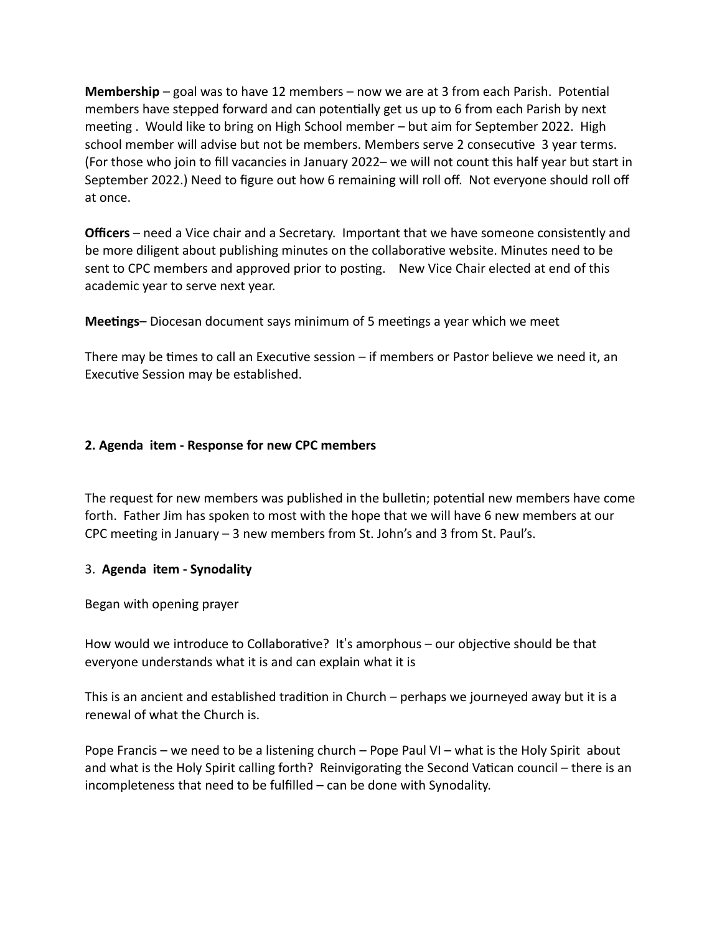**Membership** – goal was to have 12 members – now we are at 3 from each Parish. Potential members have stepped forward and can potentially get us up to 6 from each Parish by next meeting . Would like to bring on High School member – but aim for September 2022. High school member will advise but not be members. Members serve 2 consecutive 3 year terms. (For those who join to fill vacancies in January 2022– we will not count this half year but start in September 2022.) Need to figure out how 6 remaining will roll off. Not everyone should roll off at once.

**Officers** – need a Vice chair and a Secretary. Important that we have someone consistently and be more diligent about publishing minutes on the collaborative website. Minutes need to be sent to CPC members and approved prior to posting. New Vice Chair elected at end of this academic year to serve next year.

**Meetings–** Diocesan document says minimum of 5 meetings a year which we meet

There may be times to call an Executive session  $-$  if members or Pastor believe we need it, an Executive Session may be established.

# **2. Agenda item - Response for new CPC members**

The request for new members was published in the bulletin; potential new members have come forth. Father Jim has spoken to most with the hope that we will have 6 new members at our CPC meeting in January  $-3$  new members from St. John's and 3 from St. Paul's.

### 3. **Agenda item - Synodality**

Began with opening prayer

How would we introduce to Collaborative? It's amorphous – our objective should be that everyone understands what it is and can explain what it is

This is an ancient and established tradition in Church – perhaps we journeyed away but it is a renewal of what the Church is.

Pope Francis – we need to be a listening church – Pope Paul VI – what is the Holy Spirit about and what is the Holy Spirit calling forth? Reinvigorating the Second Vatican council – there is an incompleteness that need to be fulfilled – can be done with Synodality.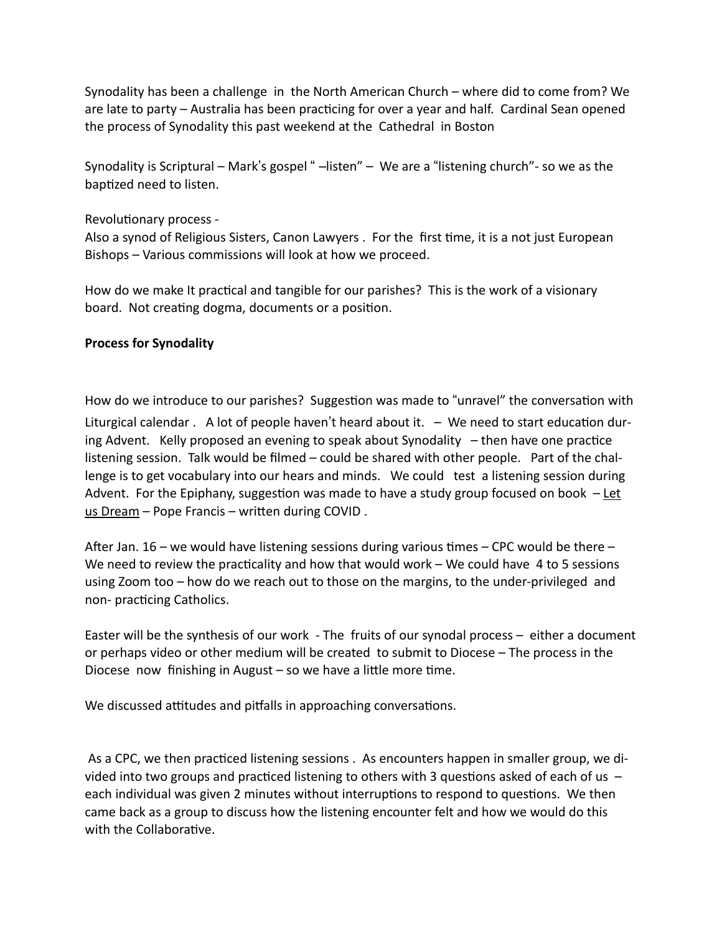Synodality has been a challenge in the North American Church – where did to come from? We are late to party – Australia has been practicing for over a year and half. Cardinal Sean opened the process of Synodality this past weekend at the Cathedral in Boston

Synodality is Scriptural – Mark's gospel " –listen" – We are a "listening church"- so we as the baptized need to listen.

# Revolutionary process -

Also a synod of Religious Sisters, Canon Lawyers . For the first time, it is a not just European Bishops – Various commissions will look at how we proceed.

How do we make It practical and tangible for our parishes? This is the work of a visionary board. Not creating dogma, documents or a position.

# **Process for Synodality**

How do we introduce to our parishes? Suggestion was made to "unravel" the conversation with Liturgical calendar . A lot of people haven't heard about it.  $-$  We need to start education during Advent. Kelly proposed an evening to speak about Synodality  $-$  then have one practice listening session. Talk would be filmed – could be shared with other people. Part of the challenge is to get vocabulary into our hears and minds. We could test a listening session during Advent. For the Epiphany, suggestion was made to have a study group focused on book  $-\text{Let}$ us Dream – Pope Francis – written during COVID.

After Jan. 16 – we would have listening sessions during various times – CPC would be there – We need to review the practicality and how that would work – We could have  $4$  to 5 sessions using Zoom too – how do we reach out to those on the margins, to the under-privileged and non- practicing Catholics.

Easter will be the synthesis of our work - The fruits of our synodal process – either a document or perhaps video or other medium will be created to submit to Diocese – The process in the Diocese now finishing in August – so we have a little more time.

We discussed attitudes and pitfalls in approaching conversations.

As a CPC, we then practiced listening sessions . As encounters happen in smaller group, we divided into two groups and practiced listening to others with 3 questions asked of each of us  $$ each individual was given 2 minutes without interruptions to respond to questions. We then came back as a group to discuss how the listening encounter felt and how we would do this with the Collaborative.